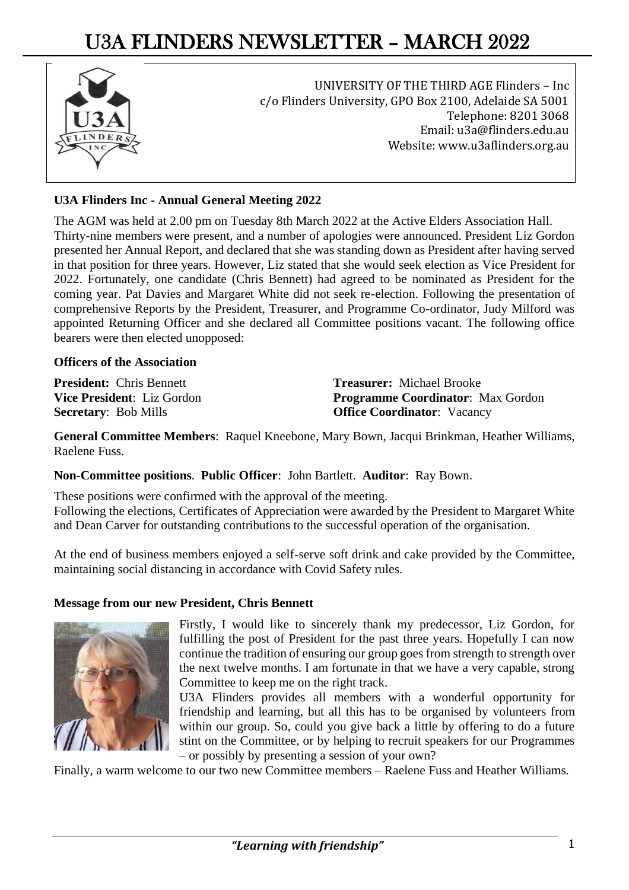# U3A FLINDERS NEWSLETTER – MARCH 2022



UNIVERSITY OF THE THIRD AGE Flinders – Inc c/o Flinders University, GPO Box 2100, Adelaide SA 5001 Telephone: 8201 3068 Email[: u3a@flinders.edu.au](mailto:u3a@flinders.edu.au) Website: www.u3aflinders.org.au

### **U3A Flinders Inc - Annual General Meeting 2022**

The AGM was held at 2.00 pm on Tuesday 8th March 2022 at the Active Elders Association Hall. Thirty-nine members were present, and a number of apologies were announced. President Liz Gordon presented her Annual Report, and declared that she was standing down as President after having served in that position for three years. However, Liz stated that she would seek election as Vice President for 2022. Fortunately, one candidate (Chris Bennett) had agreed to be nominated as President for the coming year. Pat Davies and Margaret White did not seek re-election. Following the presentation of comprehensive Reports by the President, Treasurer, and Programme Co-ordinator, Judy Milford was appointed Returning Officer and she declared all Committee positions vacant. The following office bearers were then elected unopposed:

### **Officers of the Association**

**President:** Chris Bennett **Vice President**: Liz Gordon **Secretary**: Bob Mills

**Treasurer:** Michael Brooke **Programme Coordinator**: Max Gordon **Office Coordinator**: Vacancy

**General Committee Members**: Raquel Kneebone, Mary Bown, Jacqui Brinkman, Heather Williams, Raelene Fuss.

**Non-Committee positions**. **Public Officer**: John Bartlett. **Auditor**: Ray Bown.

These positions were confirmed with the approval of the meeting. Following the elections, Certificates of Appreciation were awarded by the President to Margaret White and Dean Carver for outstanding contributions to the successful operation of the organisation.

At the end of business members enjoyed a self-serve soft drink and cake provided by the Committee, maintaining social distancing in accordance with Covid Safety rules.

### **Message from our new President, Chris Bennett**



Firstly, I would like to sincerely thank my predecessor, Liz Gordon, for fulfilling the post of President for the past three years. Hopefully I can now continue the tradition of ensuring our group goes from strength to strength over the next twelve months. I am fortunate in that we have a very capable, strong Committee to keep me on the right track.

U3A Flinders provides all members with a wonderful opportunity for friendship and learning, but all this has to be organised by volunteers from within our group. So, could you give back a little by offering to do a future stint on the Committee, or by helping to recruit speakers for our Programmes – or possibly by presenting a session of your own?

Finally, a warm welcome to our two new Committee members – Raelene Fuss and Heather Williams.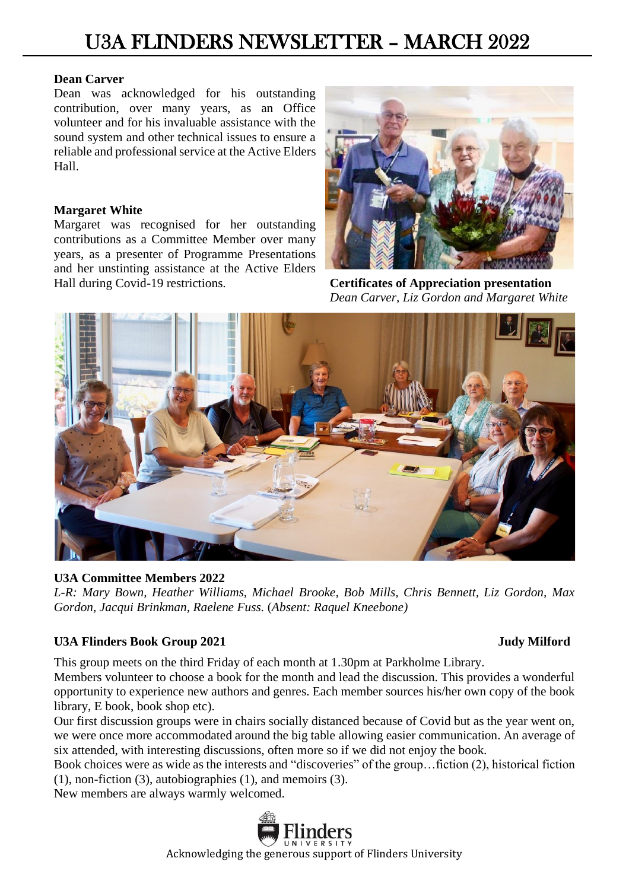# U3A FLINDERS NEWSLETTER – MARCH 2022

### **Dean Carver**

Dean was acknowledged for his outstanding contribution, over many years, as an Office volunteer and for his invaluable assistance with the sound system and other technical issues to ensure a reliable and professional service at the Active Elders Hall.

### **Margaret White**

Margaret was recognised for her outstanding contributions as a Committee Member over many years, as a presenter of Programme Presentations and her unstinting assistance at the Active Elders Hall during Covid-19 restrictions. **Certificates of Appreciation presentation**



 *Dean Carver, Liz Gordon and Margaret White*



# **U3A Committee Members 2022**

*L-R: Mary Bown, Heather Williams, Michael Brooke, Bob Mills, Chris Bennett, Liz Gordon, Max Gordon, Jacqui Brinkman, Raelene Fuss.* (*Absent: Raquel Kneebone)*

# U3A Flinders Book Group 2021 **Judy Milford**

This group meets on the third Friday of each month at 1.30pm at Parkholme Library.

Members volunteer to choose a book for the month and lead the discussion. This provides a wonderful opportunity to experience new authors and genres. Each member sources his/her own copy of the book library, E book, book shop etc).

Our first discussion groups were in chairs socially distanced because of Covid but as the year went on, we were once more accommodated around the big table allowing easier communication. An average of six attended, with interesting discussions, often more so if we did not enjoy the book.

Book choices were as wide as the interests and "discoveries" of the group…fiction (2), historical fiction (1), non-fiction (3), autobiographies (1), and memoirs (3).

New members are always warmly welcomed.

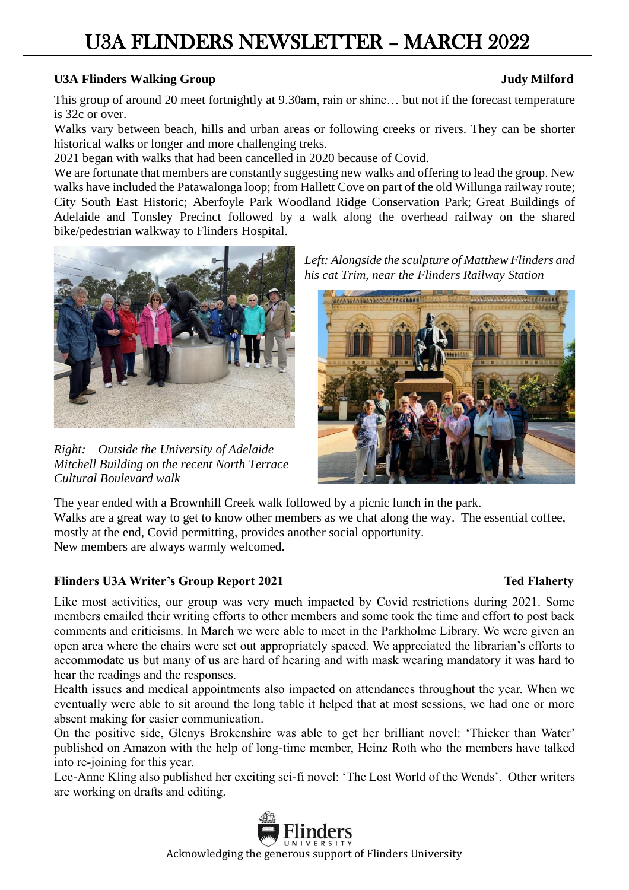# U3A FLINDERS NEWSLETTER – MARCH 2022

# **U3A Flinders Walking Group Judy Milford**

This group of around 20 meet fortnightly at 9.30am, rain or shine… but not if the forecast temperature is 32c or over.

Walks vary between beach, hills and urban areas or following creeks or rivers. They can be shorter historical walks or longer and more challenging treks.

2021 began with walks that had been cancelled in 2020 because of Covid.

We are fortunate that members are constantly suggesting new walks and offering to lead the group. New walks have included the Patawalonga loop; from Hallett Cove on part of the old Willunga railway route; City South East Historic; Aberfoyle Park Woodland Ridge Conservation Park; Great Buildings of Adelaide and Tonsley Precinct followed by a walk along the overhead railway on the shared bike/pedestrian walkway to Flinders Hospital.



*Right: Outside the University of Adelaide Mitchell Building on the recent North Terrace Cultural Boulevard walk*

*Left: Alongside the sculpture of Matthew Flinders and his cat Trim, near the Flinders Railway Station*



The year ended with a Brownhill Creek walk followed by a picnic lunch in the park. Walks are a great way to get to know other members as we chat along the way. The essential coffee, mostly at the end, Covid permitting, provides another social opportunity. New members are always warmly welcomed.

# **Flinders U3A Writer's Group Report 2021** Ted Flaherty **Ted Flaherty**

Like most activities, our group was very much impacted by Covid restrictions during 2021. Some members emailed their writing efforts to other members and some took the time and effort to post back comments and criticisms. In March we were able to meet in the Parkholme Library. We were given an open area where the chairs were set out appropriately spaced. We appreciated the librarian's efforts to accommodate us but many of us are hard of hearing and with mask wearing mandatory it was hard to hear the readings and the responses.

Health issues and medical appointments also impacted on attendances throughout the year. When we eventually were able to sit around the long table it helped that at most sessions, we had one or more absent making for easier communication.

On the positive side, Glenys Brokenshire was able to get her brilliant novel: 'Thicker than Water' published on Amazon with the help of long-time member, Heinz Roth who the members have talked into re-joining for this year.

Lee-Anne Kling also published her exciting sci-fi novel: 'The Lost World of the Wends'. Other writers are working on drafts and editing.